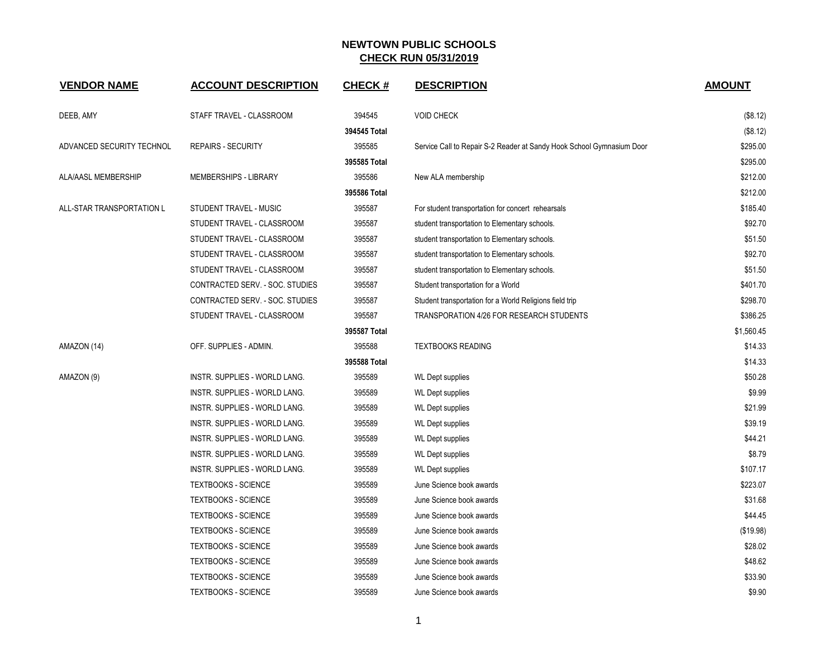| <b>VENDOR NAME</b>        | <b>ACCOUNT DESCRIPTION</b>      | <b>CHECK#</b> | <b>DESCRIPTION</b>                                                    | <b>AMOUNT</b> |
|---------------------------|---------------------------------|---------------|-----------------------------------------------------------------------|---------------|
| DEEB, AMY                 | STAFF TRAVEL - CLASSROOM        | 394545        | <b>VOID CHECK</b>                                                     | (\$8.12)      |
|                           |                                 | 394545 Total  |                                                                       | (\$8.12)      |
| ADVANCED SECURITY TECHNOL | <b>REPAIRS - SECURITY</b>       | 395585        | Service Call to Repair S-2 Reader at Sandy Hook School Gymnasium Door | \$295.00      |
|                           |                                 | 395585 Total  |                                                                       | \$295.00      |
| ALA/AASL MEMBERSHIP       | MEMBERSHIPS - LIBRARY           | 395586        | New ALA membership                                                    | \$212.00      |
|                           |                                 | 395586 Total  |                                                                       | \$212.00      |
| ALL-STAR TRANSPORTATION L | STUDENT TRAVEL - MUSIC          | 395587        | For student transportation for concert rehearsals                     | \$185.40      |
|                           | STUDENT TRAVEL - CLASSROOM      | 395587        | student transportation to Elementary schools.                         | \$92.70       |
|                           | STUDENT TRAVEL - CLASSROOM      | 395587        | student transportation to Elementary schools.                         | \$51.50       |
|                           | STUDENT TRAVEL - CLASSROOM      | 395587        | student transportation to Elementary schools.                         | \$92.70       |
|                           | STUDENT TRAVEL - CLASSROOM      | 395587        | student transportation to Elementary schools.                         | \$51.50       |
|                           | CONTRACTED SERV. - SOC. STUDIES | 395587        | Student transportation for a World                                    | \$401.70      |
|                           | CONTRACTED SERV. - SOC. STUDIES | 395587        | Student transportation for a World Religions field trip               | \$298.70      |
|                           | STUDENT TRAVEL - CLASSROOM      | 395587        | TRANSPORATION 4/26 FOR RESEARCH STUDENTS                              | \$386.25      |
|                           |                                 | 395587 Total  |                                                                       | \$1,560.45    |
| AMAZON (14)               | OFF. SUPPLIES - ADMIN.          | 395588        | <b>TEXTBOOKS READING</b>                                              | \$14.33       |
|                           |                                 | 395588 Total  |                                                                       | \$14.33       |
| AMAZON (9)                | INSTR. SUPPLIES - WORLD LANG.   | 395589        | <b>WL Dept supplies</b>                                               | \$50.28       |
|                           | INSTR. SUPPLIES - WORLD LANG.   | 395589        | <b>WL Dept supplies</b>                                               | \$9.99        |
|                           | INSTR. SUPPLIES - WORLD LANG.   | 395589        | <b>WL Dept supplies</b>                                               | \$21.99       |
|                           | INSTR. SUPPLIES - WORLD LANG.   | 395589        | <b>WL Dept supplies</b>                                               | \$39.19       |
|                           | INSTR. SUPPLIES - WORLD LANG.   | 395589        | <b>WL Dept supplies</b>                                               | \$44.21       |
|                           | INSTR. SUPPLIES - WORLD LANG.   | 395589        | WL Dept supplies                                                      | \$8.79        |
|                           | INSTR. SUPPLIES - WORLD LANG.   | 395589        | <b>WL Dept supplies</b>                                               | \$107.17      |
|                           | <b>TEXTBOOKS - SCIENCE</b>      | 395589        | June Science book awards                                              | \$223.07      |
|                           | <b>TEXTBOOKS - SCIENCE</b>      | 395589        | June Science book awards                                              | \$31.68       |
|                           | <b>TEXTBOOKS - SCIENCE</b>      | 395589        | June Science book awards                                              | \$44.45       |
|                           | <b>TEXTBOOKS - SCIENCE</b>      | 395589        | June Science book awards                                              | (\$19.98)     |
|                           | <b>TEXTBOOKS - SCIENCE</b>      | 395589        | June Science book awards                                              | \$28.02       |
|                           | <b>TEXTBOOKS - SCIENCE</b>      | 395589        | June Science book awards                                              | \$48.62       |
|                           | <b>TEXTBOOKS - SCIENCE</b>      | 395589        | June Science book awards                                              | \$33.90       |
|                           | <b>TEXTBOOKS - SCIENCE</b>      | 395589        | June Science book awards                                              | \$9.90        |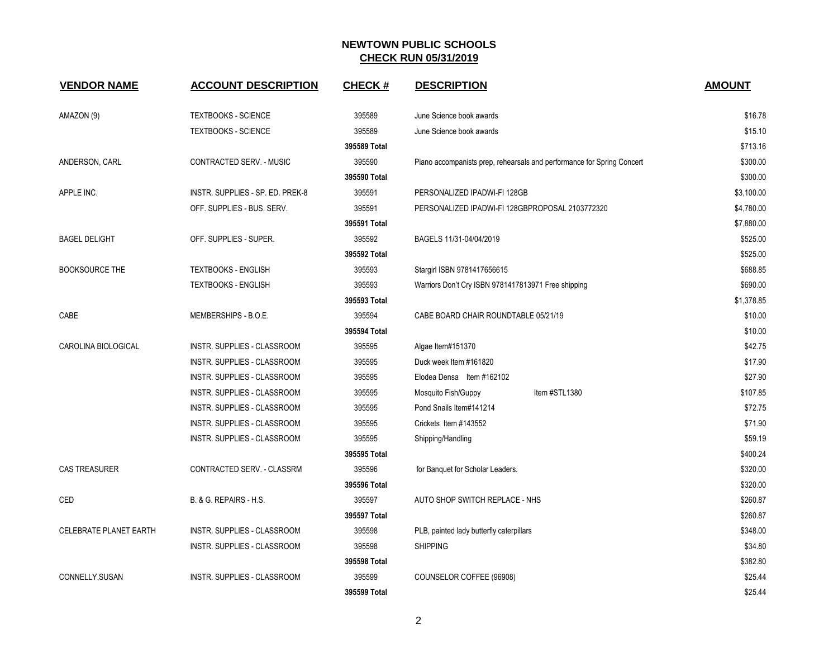| <b>VENDOR NAME</b>            | <b>ACCOUNT DESCRIPTION</b>         | <b>CHECK#</b> | <b>DESCRIPTION</b>                                                     | <b>AMOUNT</b> |
|-------------------------------|------------------------------------|---------------|------------------------------------------------------------------------|---------------|
| AMAZON (9)                    | <b>TEXTBOOKS - SCIENCE</b>         | 395589        | June Science book awards                                               | \$16.78       |
|                               | <b>TEXTBOOKS - SCIENCE</b>         | 395589        | June Science book awards                                               | \$15.10       |
|                               |                                    | 395589 Total  |                                                                        | \$713.16      |
| ANDERSON, CARL                | CONTRACTED SERV. - MUSIC           | 395590        | Piano accompanists prep, rehearsals and performance for Spring Concert | \$300.00      |
|                               |                                    | 395590 Total  |                                                                        | \$300.00      |
| APPLE INC.                    | INSTR. SUPPLIES - SP. ED. PREK-8   | 395591        | PERSONALIZED IPADWI-FI 128GB                                           | \$3,100.00    |
|                               | OFF. SUPPLIES - BUS. SERV.         | 395591        | PERSONALIZED IPADWI-FI 128GBPROPOSAL 2103772320                        | \$4,780.00    |
|                               |                                    | 395591 Total  |                                                                        | \$7,880.00    |
| <b>BAGEL DELIGHT</b>          | OFF. SUPPLIES - SUPER.             | 395592        | BAGELS 11/31-04/04/2019                                                | \$525.00      |
|                               |                                    | 395592 Total  |                                                                        | \$525.00      |
| <b>BOOKSOURCE THE</b>         | <b>TEXTBOOKS - ENGLISH</b>         | 395593        | Stargirl ISBN 9781417656615                                            | \$688.85      |
|                               | TEXTBOOKS - ENGLISH                | 395593        | Warriors Don't Cry ISBN 9781417813971 Free shipping                    | \$690.00      |
|                               |                                    | 395593 Total  |                                                                        | \$1,378.85    |
| CABE                          | MEMBERSHIPS - B.O.E.               | 395594        | CABE BOARD CHAIR ROUNDTABLE 05/21/19                                   | \$10.00       |
|                               |                                    | 395594 Total  |                                                                        | \$10.00       |
| CAROLINA BIOLOGICAL           | INSTR. SUPPLIES - CLASSROOM        | 395595        | Algae Item#151370                                                      | \$42.75       |
|                               | INSTR. SUPPLIES - CLASSROOM        | 395595        | Duck week Item #161820                                                 | \$17.90       |
|                               | INSTR. SUPPLIES - CLASSROOM        | 395595        | Elodea Densa Item #162102                                              | \$27.90       |
|                               | INSTR. SUPPLIES - CLASSROOM        | 395595        | Item #STL1380<br>Mosquito Fish/Guppy                                   | \$107.85      |
|                               | INSTR. SUPPLIES - CLASSROOM        | 395595        | Pond Snails Item#141214                                                | \$72.75       |
|                               | INSTR. SUPPLIES - CLASSROOM        | 395595        | Crickets Item #143552                                                  | \$71.90       |
|                               | INSTR. SUPPLIES - CLASSROOM        | 395595        | Shipping/Handling                                                      | \$59.19       |
|                               |                                    | 395595 Total  |                                                                        | \$400.24      |
| <b>CAS TREASURER</b>          | CONTRACTED SERV. - CLASSRM         | 395596        | for Banquet for Scholar Leaders.                                       | \$320.00      |
|                               |                                    | 395596 Total  |                                                                        | \$320.00      |
| CED                           | B. & G. REPAIRS - H.S.             | 395597        | AUTO SHOP SWITCH REPLACE - NHS                                         | \$260.87      |
|                               |                                    | 395597 Total  |                                                                        | \$260.87      |
| <b>CELEBRATE PLANET EARTH</b> | INSTR. SUPPLIES - CLASSROOM        | 395598        | PLB, painted lady butterfly caterpillars                               | \$348.00      |
|                               | INSTR. SUPPLIES - CLASSROOM        | 395598        | <b>SHIPPING</b>                                                        | \$34.80       |
|                               |                                    | 395598 Total  |                                                                        | \$382.80      |
| CONNELLY, SUSAN               | <b>INSTR. SUPPLIES - CLASSROOM</b> | 395599        | COUNSELOR COFFEE (96908)                                               | \$25.44       |
|                               |                                    | 395599 Total  |                                                                        | \$25.44       |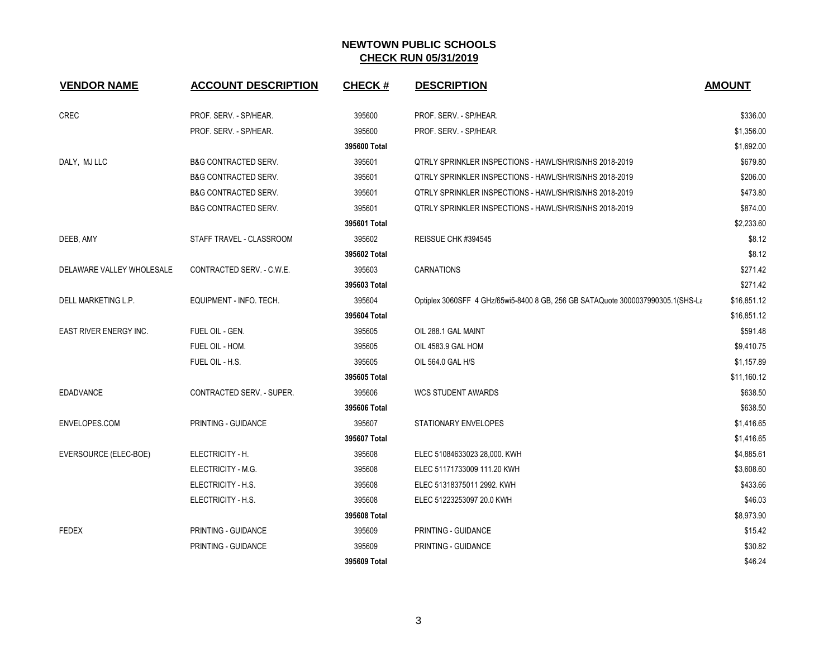| <b>VENDOR NAME</b>        | <b>ACCOUNT DESCRIPTION</b>       | <b>CHECK#</b> | <b>DESCRIPTION</b>                                                              | <b>AMOUNT</b> |
|---------------------------|----------------------------------|---------------|---------------------------------------------------------------------------------|---------------|
| CREC                      | PROF. SERV. - SP/HEAR.           | 395600        | PROF. SERV. - SP/HEAR.                                                          | \$336.00      |
|                           | PROF. SERV. - SP/HEAR.           | 395600        | PROF. SERV. - SP/HEAR.                                                          | \$1,356.00    |
|                           |                                  | 395600 Total  |                                                                                 | \$1,692.00    |
| DALY, MJ LLC              | <b>B&amp;G CONTRACTED SERV.</b>  | 395601        | <b>QTRLY SPRINKLER INSPECTIONS - HAWL/SH/RIS/NHS 2018-2019</b>                  | \$679.80      |
|                           | <b>B&amp;G CONTRACTED SERV.</b>  | 395601        | QTRLY SPRINKLER INSPECTIONS - HAWL/SH/RIS/NHS 2018-2019                         | \$206.00      |
|                           | <b>B&amp;G CONTRACTED SERV.</b>  | 395601        | QTRLY SPRINKLER INSPECTIONS - HAWL/SH/RIS/NHS 2018-2019                         | \$473.80      |
|                           | <b>B&amp;G CONTRACTED SERV.</b>  | 395601        | QTRLY SPRINKLER INSPECTIONS - HAWL/SH/RIS/NHS 2018-2019                         | \$874.00      |
|                           |                                  | 395601 Total  |                                                                                 | \$2,233.60    |
| DEEB, AMY                 | STAFF TRAVEL - CLASSROOM         | 395602        | REISSUE CHK #394545                                                             | \$8.12        |
|                           |                                  | 395602 Total  |                                                                                 | \$8.12        |
| DELAWARE VALLEY WHOLESALE | CONTRACTED SERV. - C.W.E.        | 395603        | <b>CARNATIONS</b>                                                               | \$271.42      |
|                           |                                  | 395603 Total  |                                                                                 | \$271.42      |
| DELL MARKETING L.P.       | EQUIPMENT - INFO. TECH.          | 395604        | Optiplex 3060SFF 4 GHz/65wi5-8400 8 GB, 256 GB SATAQuote 3000037990305.1(SHS-La | \$16,851.12   |
|                           |                                  | 395604 Total  |                                                                                 | \$16,851.12   |
| EAST RIVER ENERGY INC.    | FUEL OIL - GEN.                  | 395605        | OIL 288.1 GAL MAINT                                                             | \$591.48      |
|                           | FUEL OIL - HOM.                  | 395605        | OIL 4583.9 GAL HOM                                                              | \$9,410.75    |
|                           | FUEL OIL - H.S.                  | 395605        | OIL 564.0 GAL H/S                                                               | \$1,157.89    |
|                           |                                  | 395605 Total  |                                                                                 | \$11,160.12   |
| <b>EDADVANCE</b>          | <b>CONTRACTED SERV. - SUPER.</b> | 395606        | <b>WCS STUDENT AWARDS</b>                                                       | \$638.50      |
|                           |                                  | 395606 Total  |                                                                                 | \$638.50      |
| ENVELOPES.COM             | PRINTING - GUIDANCE              | 395607        | STATIONARY ENVELOPES                                                            | \$1,416.65    |
|                           |                                  | 395607 Total  |                                                                                 | \$1,416.65    |
| EVERSOURCE (ELEC-BOE)     | ELECTRICITY - H.                 | 395608        | ELEC 51084633023 28,000. KWH                                                    | \$4,885.61    |
|                           | ELECTRICITY - M.G.               | 395608        | ELEC 51171733009 111.20 KWH                                                     | \$3,608.60    |
|                           | ELECTRICITY - H.S.               | 395608        | ELEC 51318375011 2992. KWH                                                      | \$433.66      |
|                           | ELECTRICITY - H.S.               | 395608        | ELEC 51223253097 20.0 KWH                                                       | \$46.03       |
|                           |                                  | 395608 Total  |                                                                                 | \$8,973.90    |
| <b>FEDEX</b>              | PRINTING - GUIDANCE              | 395609        | PRINTING - GUIDANCE                                                             | \$15.42       |
|                           | PRINTING - GUIDANCE              | 395609        | PRINTING - GUIDANCE                                                             | \$30.82       |
|                           |                                  | 395609 Total  |                                                                                 | \$46.24       |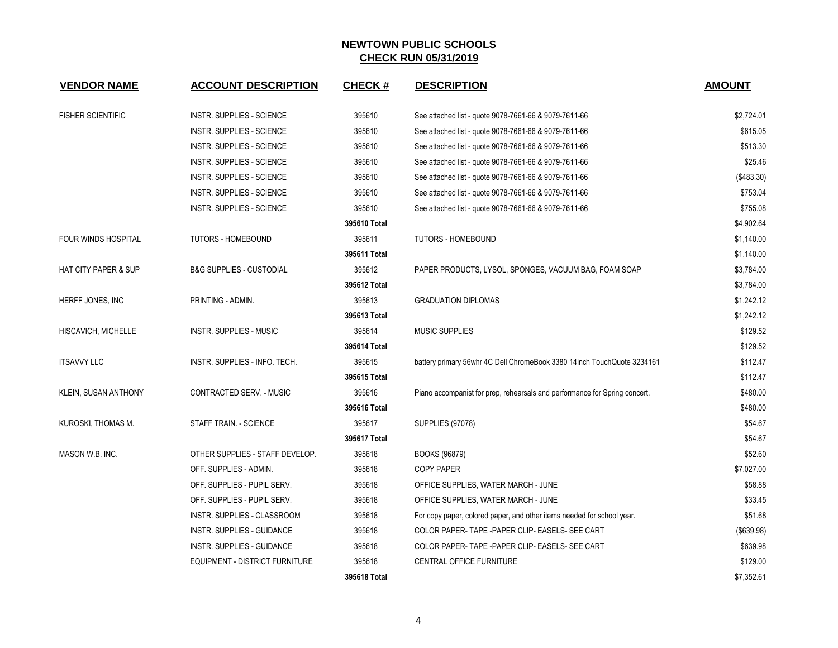| <b>VENDOR NAME</b>              | <b>ACCOUNT DESCRIPTION</b>          | <b>CHECK#</b> | <b>DESCRIPTION</b>                                                         | <b>AMOUNT</b> |
|---------------------------------|-------------------------------------|---------------|----------------------------------------------------------------------------|---------------|
| <b>FISHER SCIENTIFIC</b>        | <b>INSTR. SUPPLIES - SCIENCE</b>    | 395610        | See attached list - quote 9078-7661-66 & 9079-7611-66                      | \$2,724.01    |
|                                 | INSTR. SUPPLIES - SCIENCE           | 395610        | See attached list - quote 9078-7661-66 & 9079-7611-66                      | \$615.05      |
|                                 | INSTR. SUPPLIES - SCIENCE           | 395610        | See attached list - quote 9078-7661-66 & 9079-7611-66                      | \$513.30      |
|                                 | INSTR. SUPPLIES - SCIENCE           | 395610        | See attached list - quote 9078-7661-66 & 9079-7611-66                      | \$25.46       |
|                                 | INSTR. SUPPLIES - SCIENCE           | 395610        | See attached list - quote 9078-7661-66 & 9079-7611-66                      | (\$483.30)    |
|                                 | INSTR. SUPPLIES - SCIENCE           | 395610        | See attached list - quote 9078-7661-66 & 9079-7611-66                      | \$753.04      |
|                                 | INSTR. SUPPLIES - SCIENCE           | 395610        | See attached list - quote 9078-7661-66 & 9079-7611-66                      | \$755.08      |
|                                 |                                     | 395610 Total  |                                                                            | \$4,902.64    |
| <b>FOUR WINDS HOSPITAL</b>      | <b>TUTORS - HOMEBOUND</b>           | 395611        | <b>TUTORS - HOMEBOUND</b>                                                  | \$1,140.00    |
|                                 |                                     | 395611 Total  |                                                                            | \$1,140.00    |
| <b>HAT CITY PAPER &amp; SUP</b> | <b>B&amp;G SUPPLIES - CUSTODIAL</b> | 395612        | PAPER PRODUCTS, LYSOL, SPONGES, VACUUM BAG, FOAM SOAP                      | \$3,784.00    |
|                                 |                                     | 395612 Total  |                                                                            | \$3,784.00    |
| HERFF JONES, INC                | PRINTING - ADMIN.                   | 395613        | <b>GRADUATION DIPLOMAS</b>                                                 | \$1,242.12    |
|                                 |                                     | 395613 Total  |                                                                            | \$1,242.12    |
| HISCAVICH, MICHELLE             | <b>INSTR. SUPPLIES - MUSIC</b>      | 395614        | <b>MUSIC SUPPLIES</b>                                                      | \$129.52      |
|                                 |                                     | 395614 Total  |                                                                            | \$129.52      |
| <b>ITSAVVY LLC</b>              | INSTR. SUPPLIES - INFO. TECH.       | 395615        | battery primary 56whr 4C Dell ChromeBook 3380 14inch TouchQuote 3234161    | \$112.47      |
|                                 |                                     | 395615 Total  |                                                                            | \$112.47      |
| KLEIN, SUSAN ANTHONY            | CONTRACTED SERV. - MUSIC            | 395616        | Piano accompanist for prep, rehearsals and performance for Spring concert. | \$480.00      |
|                                 |                                     | 395616 Total  |                                                                            | \$480.00      |
| KUROSKI, THOMAS M.              | STAFF TRAIN. - SCIENCE              | 395617        | <b>SUPPLIES (97078)</b>                                                    | \$54.67       |
|                                 |                                     | 395617 Total  |                                                                            | \$54.67       |
| MASON W.B. INC.                 | OTHER SUPPLIES - STAFF DEVELOP.     | 395618        | BOOKS (96879)                                                              | \$52.60       |
|                                 | OFF. SUPPLIES - ADMIN.              | 395618        | <b>COPY PAPER</b>                                                          | \$7,027.00    |
|                                 | OFF. SUPPLIES - PUPIL SERV.         | 395618        | OFFICE SUPPLIES, WATER MARCH - JUNE                                        | \$58.88       |
|                                 | OFF. SUPPLIES - PUPIL SERV.         | 395618        | OFFICE SUPPLIES, WATER MARCH - JUNE                                        | \$33.45       |
|                                 | INSTR. SUPPLIES - CLASSROOM         | 395618        | For copy paper, colored paper, and other items needed for school year.     | \$51.68       |
|                                 | INSTR. SUPPLIES - GUIDANCE          | 395618        | COLOR PAPER-TAPE - PAPER CLIP- EASELS- SEE CART                            | (\$639.98)    |
|                                 | INSTR. SUPPLIES - GUIDANCE          | 395618        | COLOR PAPER-TAPE -PAPER CLIP- EASELS- SEE CART                             | \$639.98      |
|                                 | EQUIPMENT - DISTRICT FURNITURE      | 395618        | CENTRAL OFFICE FURNITURE                                                   | \$129.00      |
|                                 |                                     | 395618 Total  |                                                                            | \$7,352.61    |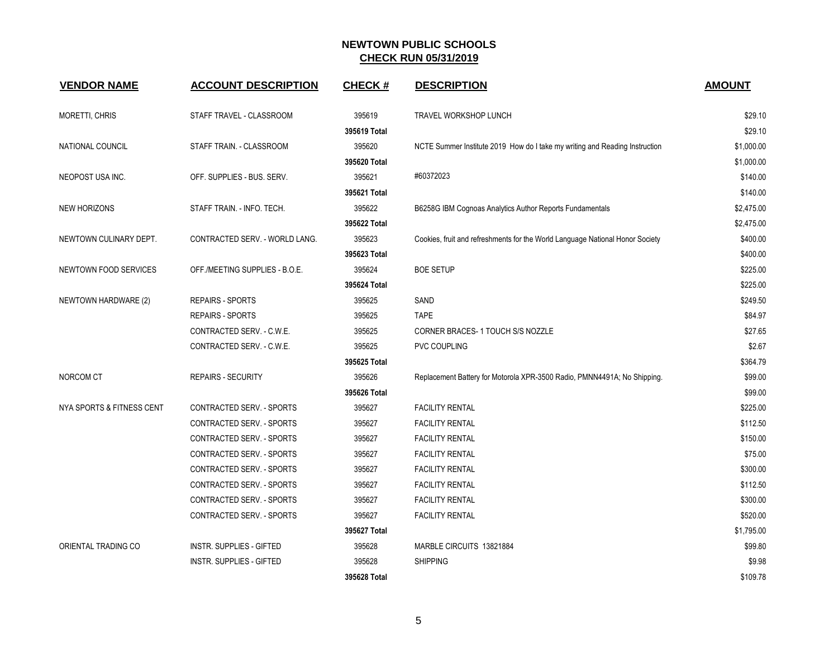| <b>VENDOR NAME</b>           | <b>ACCOUNT DESCRIPTION</b>      | <b>CHECK#</b> | <b>DESCRIPTION</b>                                                            | <b>AMOUNT</b> |
|------------------------------|---------------------------------|---------------|-------------------------------------------------------------------------------|---------------|
| <b>MORETTI, CHRIS</b>        | STAFF TRAVEL - CLASSROOM        | 395619        | TRAVEL WORKSHOP LUNCH                                                         | \$29.10       |
|                              |                                 | 395619 Total  |                                                                               | \$29.10       |
| NATIONAL COUNCIL             | STAFF TRAIN. - CLASSROOM        | 395620        | NCTE Summer Institute 2019 How do I take my writing and Reading Instruction   | \$1,000.00    |
|                              |                                 | 395620 Total  |                                                                               | \$1,000.00    |
| NEOPOST USA INC.             | OFF. SUPPLIES - BUS. SERV.      | 395621        | #60372023                                                                     | \$140.00      |
|                              |                                 | 395621 Total  |                                                                               | \$140.00      |
| <b>NEW HORIZONS</b>          | STAFF TRAIN. - INFO. TECH.      | 395622        | B6258G IBM Cognoas Analytics Author Reports Fundamentals                      | \$2,475.00    |
|                              |                                 | 395622 Total  |                                                                               | \$2,475.00    |
| NEWTOWN CULINARY DEPT.       | CONTRACTED SERV. - WORLD LANG.  | 395623        | Cookies, fruit and refreshments for the World Language National Honor Society | \$400.00      |
|                              |                                 | 395623 Total  |                                                                               | \$400.00      |
| <b>NEWTOWN FOOD SERVICES</b> | OFF./MEETING SUPPLIES - B.O.E.  | 395624        | <b>BOE SETUP</b>                                                              | \$225.00      |
|                              |                                 | 395624 Total  |                                                                               | \$225.00      |
| NEWTOWN HARDWARE (2)         | <b>REPAIRS - SPORTS</b>         | 395625        | SAND                                                                          | \$249.50      |
|                              | <b>REPAIRS - SPORTS</b>         | 395625        | <b>TAPE</b>                                                                   | \$84.97       |
|                              | CONTRACTED SERV. - C.W.E.       | 395625        | CORNER BRACES-1 TOUCH S/S NOZZLE                                              | \$27.65       |
|                              | CONTRACTED SERV. - C.W.E.       | 395625        | <b>PVC COUPLING</b>                                                           | \$2.67        |
|                              |                                 | 395625 Total  |                                                                               | \$364.79      |
| NORCOM CT                    | <b>REPAIRS - SECURITY</b>       | 395626        | Replacement Battery for Motorola XPR-3500 Radio, PMNN4491A; No Shipping.      | \$99.00       |
|                              |                                 | 395626 Total  |                                                                               | \$99.00       |
| NYA SPORTS & FITNESS CENT    | CONTRACTED SERV. - SPORTS       | 395627        | <b>FACILITY RENTAL</b>                                                        | \$225.00      |
|                              | CONTRACTED SERV. - SPORTS       | 395627        | <b>FACILITY RENTAL</b>                                                        | \$112.50      |
|                              | CONTRACTED SERV. - SPORTS       | 395627        | <b>FACILITY RENTAL</b>                                                        | \$150.00      |
|                              | CONTRACTED SERV. - SPORTS       | 395627        | <b>FACILITY RENTAL</b>                                                        | \$75.00       |
|                              | CONTRACTED SERV. - SPORTS       | 395627        | <b>FACILITY RENTAL</b>                                                        | \$300.00      |
|                              | CONTRACTED SERV. - SPORTS       | 395627        | <b>FACILITY RENTAL</b>                                                        | \$112.50      |
|                              | CONTRACTED SERV. - SPORTS       | 395627        | <b>FACILITY RENTAL</b>                                                        | \$300.00      |
|                              | CONTRACTED SERV. - SPORTS       | 395627        | <b>FACILITY RENTAL</b>                                                        | \$520.00      |
|                              |                                 | 395627 Total  |                                                                               | \$1,795.00    |
| ORIENTAL TRADING CO          | <b>INSTR. SUPPLIES - GIFTED</b> | 395628        | MARBLE CIRCUITS 13821884                                                      | \$99.80       |
|                              | <b>INSTR. SUPPLIES - GIFTED</b> | 395628        | <b>SHIPPING</b>                                                               | \$9.98        |
|                              |                                 | 395628 Total  |                                                                               | \$109.78      |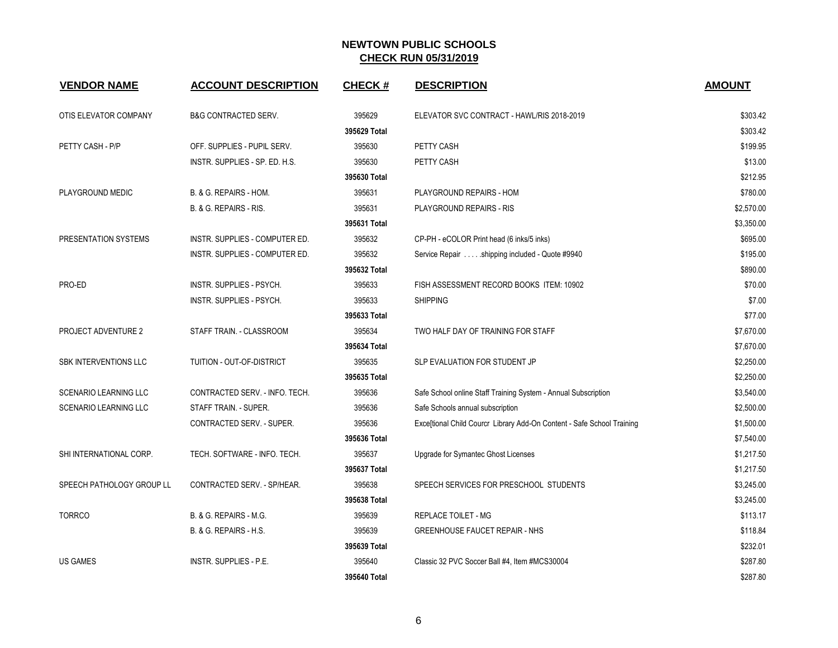| <b>VENDOR NAME</b>           | <b>ACCOUNT DESCRIPTION</b>      | <b>CHECK#</b> | <b>DESCRIPTION</b>                                                     | <b>AMOUNT</b> |
|------------------------------|---------------------------------|---------------|------------------------------------------------------------------------|---------------|
|                              |                                 |               |                                                                        |               |
| OTIS ELEVATOR COMPANY        | <b>B&amp;G CONTRACTED SERV.</b> | 395629        | ELEVATOR SVC CONTRACT - HAWL/RIS 2018-2019                             | \$303.42      |
|                              |                                 | 395629 Total  |                                                                        | \$303.42      |
| PETTY CASH - P/P             | OFF. SUPPLIES - PUPIL SERV.     | 395630        | PETTY CASH                                                             | \$199.95      |
|                              | INSTR. SUPPLIES - SP. ED. H.S.  | 395630        | PETTY CASH                                                             | \$13.00       |
|                              |                                 | 395630 Total  |                                                                        | \$212.95      |
| PLAYGROUND MEDIC             | B. & G. REPAIRS - HOM.          | 395631        | PLAYGROUND REPAIRS - HOM                                               | \$780.00      |
|                              | B. & G. REPAIRS - RIS.          | 395631        | PLAYGROUND REPAIRS - RIS                                               | \$2,570.00    |
|                              |                                 | 395631 Total  |                                                                        | \$3,350.00    |
| PRESENTATION SYSTEMS         | INSTR. SUPPLIES - COMPUTER ED.  | 395632        | CP-PH - eCOLOR Print head (6 inks/5 inks)                              | \$695.00      |
|                              | INSTR. SUPPLIES - COMPUTER ED.  | 395632        | Service Repair shipping included - Quote #9940                         | \$195.00      |
|                              |                                 | 395632 Total  |                                                                        | \$890.00      |
| PRO-ED                       | INSTR. SUPPLIES - PSYCH.        | 395633        | FISH ASSESSMENT RECORD BOOKS ITEM: 10902                               | \$70.00       |
|                              | INSTR. SUPPLIES - PSYCH.        | 395633        | <b>SHIPPING</b>                                                        | \$7.00        |
|                              |                                 | 395633 Total  |                                                                        | \$77.00       |
| <b>PROJECT ADVENTURE 2</b>   | STAFF TRAIN. - CLASSROOM        | 395634        | TWO HALF DAY OF TRAINING FOR STAFF                                     | \$7,670.00    |
|                              |                                 | 395634 Total  |                                                                        | \$7,670.00    |
| SBK INTERVENTIONS LLC        | TUITION - OUT-OF-DISTRICT       | 395635        | SLP EVALUATION FOR STUDENT JP                                          | \$2,250.00    |
|                              |                                 | 395635 Total  |                                                                        | \$2,250.00    |
| <b>SCENARIO LEARNING LLC</b> | CONTRACTED SERV. - INFO. TECH.  | 395636        | Safe School online Staff Training System - Annual Subscription         | \$3,540.00    |
| <b>SCENARIO LEARNING LLC</b> | STAFF TRAIN. - SUPER.           | 395636        | Safe Schools annual subscription                                       | \$2,500.00    |
|                              | CONTRACTED SERV. - SUPER.       | 395636        | Exce[tional Child Courcr_Library Add-On Content - Safe School Training | \$1,500.00    |
|                              |                                 | 395636 Total  |                                                                        | \$7,540.00    |
| SHI INTERNATIONAL CORP.      | TECH. SOFTWARE - INFO. TECH.    | 395637        | Upgrade for Symantec Ghost Licenses                                    | \$1,217.50    |
|                              |                                 | 395637 Total  |                                                                        | \$1,217.50    |
| SPEECH PATHOLOGY GROUP LL    | CONTRACTED SERV. - SP/HEAR.     | 395638        | SPEECH SERVICES FOR PRESCHOOL STUDENTS                                 | \$3,245.00    |
|                              |                                 | 395638 Total  |                                                                        | \$3,245.00    |
| <b>TORRCO</b>                | B. & G. REPAIRS - M.G.          | 395639        | <b>REPLACE TOILET - MG</b>                                             | \$113.17      |
|                              | B. & G. REPAIRS - H.S.          | 395639        | <b>GREENHOUSE FAUCET REPAIR - NHS</b>                                  | \$118.84      |
|                              |                                 | 395639 Total  |                                                                        | \$232.01      |
| US GAMES                     | INSTR. SUPPLIES - P.E.          | 395640        | Classic 32 PVC Soccer Ball #4, Item #MCS30004                          | \$287.80      |
|                              |                                 | 395640 Total  |                                                                        | \$287.80      |